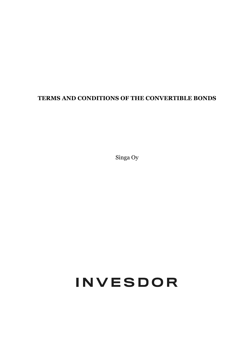# **TERMS AND CONDITIONS OF THE CONVERTIBLE BONDS**

Singa Oy

# INVESDOR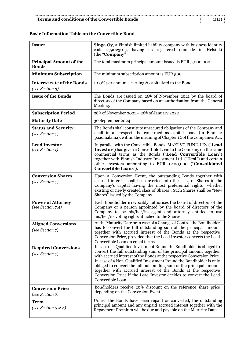# **Basic Information Table on the Convertible Bond**

| <b>Issuer</b>                                        | <b>Singa Oy, a Finnish limited liability company with business identity</b><br>code 2790230-3, having its registered domicile in Helsinki<br>(the "Company")                                                                                                                                                                                                                                                                                                                                                                |
|------------------------------------------------------|-----------------------------------------------------------------------------------------------------------------------------------------------------------------------------------------------------------------------------------------------------------------------------------------------------------------------------------------------------------------------------------------------------------------------------------------------------------------------------------------------------------------------------|
| <b>Principal Amount of the</b><br><b>Bonds</b>       | The total maximum principal amount issued is EUR 5,000,000.                                                                                                                                                                                                                                                                                                                                                                                                                                                                 |
| <b>Minimum Subscription</b>                          | The minimum subscription amount is EUR 500.                                                                                                                                                                                                                                                                                                                                                                                                                                                                                 |
| <b>Interest rate of the Bonds</b><br>(see Section 3) | 10.0% per annum, accruing & capitalized to the Bond                                                                                                                                                                                                                                                                                                                                                                                                                                                                         |
| <b>Issue of the Bonds</b>                            | The Bonds are issued on $26th$ of November 2021 by the board of<br>directors of the Company based on an authorisation from the General<br>Meeting.                                                                                                                                                                                                                                                                                                                                                                          |
| <b>Subscription Period</b>                           | $26th$ of November 2021 – $26th$ of January 2022                                                                                                                                                                                                                                                                                                                                                                                                                                                                            |
| <b>Maturity Date</b>                                 | 30 September 2024                                                                                                                                                                                                                                                                                                                                                                                                                                                                                                           |
| <b>Status and Security</b><br>(see Section 7)        | The Bonds shall constitute unsecured obligations of the Company and<br>shall in all respects be construed as capital loans (in Finnish:<br>pääomalaina), within the meaning of Chapter 12 of the Companies Act.                                                                                                                                                                                                                                                                                                             |
| <b>Lead Investor</b><br>(see Section 1)              | In parallel with the Convertible Bonds, MAKI.VC FUND I Ky ("Lead<br>Investor") has given a Convertible Loan to the Company on the same<br>commercial terms as the Bonds ("Lead Convertible Loan")<br>together with Finnish Industry Investment Ltd. ("Tesi") and certain<br>other investors amounting to EUR 1,400,000 ("Consolidated<br>Convertible Loans").                                                                                                                                                               |
| <b>Conversion Shares</b><br>(see Section 7)          | Upon a Conversion Event, the outstanding Bonds together with<br>accrued interest shall be converted into the class of Shares in the<br>Company's capital having the most preferential rights (whether<br>existing or newly created class of Shares). Such Shares shall be "New<br>Shares" issued by the Company.                                                                                                                                                                                                            |
| <b>Power of Attorney</b><br>(see Section 7.5)        | Each Bondholder irrevocably authorises the board of directors of the<br>Company or a person appointed by the board of directors of the<br>Company to be his/her/its agent and attorney entitled to use<br>his/her/its voting rights attached to the Shares.                                                                                                                                                                                                                                                                 |
| <b>Aligned Conversions</b><br>(see Section 7)        | At the Maturity Date or in case of a Change of Control the Bondholder<br>has to convert the full outstanding sum of the principal amount<br>together with accrued interest of the Bonds at the respective<br>Conversion Price, provided that the Lead Investor converts the Lead<br>Convertible Loan on equal terms.                                                                                                                                                                                                        |
| <b>Required Conversions</b><br>(see Section 7)       | In case of a Qualified Investment Round the Bondholder is obliged to<br>convert the full outstanding sum of the principal amount together<br>with accrued interest of the Bonds at the respective Conversion Price.<br>In case of a Non-Qualified Investment Round the Bondholder is only<br>obliged to convert the full outstanding sum of the principal amount<br>together with accrued interest of the Bonds at the respective<br>Conversion Price if the Lead Investor decides to convert the Lead<br>Convertible Loan. |
| <b>Conversion Price</b><br>(see Section 7)           | Bondholders receive 20% discount on the reference share price<br>depending on the Conversion Event.                                                                                                                                                                                                                                                                                                                                                                                                                         |
| Term<br>(see Section $5 & 8$ )                       | Unless the Bonds have been repaid or converted, the outstanding<br>principal amount and any unpaid accrued interest together with the<br>Repayment Premium will be due and payable on the Maturity Date.                                                                                                                                                                                                                                                                                                                    |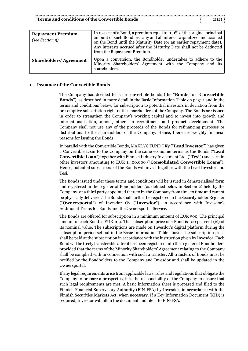| <b>Repayment Premium</b><br>(see Section $5$ ) | In respect of a Bond, a premium equal to 100% of the original principal<br>amount of such Bond less any and all interest capitalized and accrued<br>on the Bond until the Maturity Date (or an earlier repayment date).<br>Any interests accrued after the Maturity Date shall not be deducted<br>from the Repayment Premium. |
|------------------------------------------------|-------------------------------------------------------------------------------------------------------------------------------------------------------------------------------------------------------------------------------------------------------------------------------------------------------------------------------|
| <b>Shareholders' Agreement</b>                 | Upon a conversion, the Bondholder undertakes to adhere to the<br>Minority Shareholders' Agreement with the Company and its<br>shareholders.                                                                                                                                                                                   |

#### **1 Issuance of the Convertible Bonds**

The Company has decided to issue convertible bonds (the "**Bonds**" or "**Convertible Bonds**"), as described in more detail in the Basic Information Table on page 1 and in the terms and conditions below, for subscription to potential investors in deviation from the pre-emptive subscription right of the shareholders of the Company. The Bonds are issued in order to strengthen the Company's working capital and to invest into growth and internationalisation, among others in recruitment and product development. The Company shall not use any of the proceeds of the Bonds for refinancing purposes or distributions to the shareholders of the Company. Hence, there are weighty financial reasons for issuing the Bonds.

In parallel with the Convertible Bonds, MAKI.VC FUND I Ky ("**Lead Investor**") has given a Convertible Loan to the Company on the same economic terms as the Bonds ("**Lead Convertible Loan**") together with Finnish Industry Investment Ltd. ("**Tesi**") and certain other investors amounting to EUR 1.400.000 ("**Consolidated Convertible Loans**"). Hence, potential subscribers of the Bonds will invest together with the Lead Investor and Tesi.

The Bonds issued under these terms and conditions will be issued in dematerialised form and registered in the register of Bondholders (as defined below in Section 2) held by the Company, or a third party appointed thereto by the Company from time to time and cannot be physically delivered. The Bonds shall further be registered in the Securityholder Register ("**Ownersportal**") of Invesdor Oy ("**Invesdor**"), in accordance with Invesdor's Additional Terms for Bonds and the Ownersportal Service.

The Bonds are offered for subscription in a minimum amount of EUR 500. The principal amount of each Bond is EUR 100. The subscription price of a Bond is 100 per cent (%) of its nominal value. The subscriptions are made on Invesdor's digital platform during the subscription period set out in the Basic Information Table above. The subscription price shall be paid at the subscription in accordance with the instruction given by Invesdor. Each Bond will be freely transferable after it has been registered into the register of Bondholders provided that the terms of the Minority Shareholders' Agreement relating to the Company shall be complied with in connection with such a transfer. All transfers of Bonds must be notified by the Bondholders to the Company and Invesdor and shall be updated in the Ownersportal.

If any legal requirements arise from applicable laws, rules and regulations that obligate the Company to prepare a prospectus, it is the responsibility of the Company to ensure that such legal requirements are met. A basic information sheet is prepared and filed to the Finnish Financial Supervisory Authority (FIN-FSA) by Invesdor, in accordance with the Finnish Securities Markets Act, when necessary. If a Key Information Document (KID) is required, Invesdor will fill in the document and file it to FIN-FSA.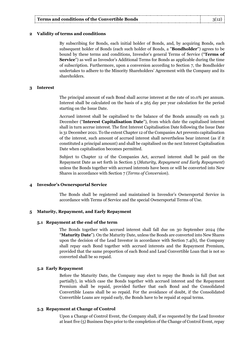#### **2 Validity of terms and conditions**

By subscribing for Bonds, each initial holder of Bonds, and, by acquiring Bonds, each subsequent holder of Bonds (each such holder of Bonds, a "**Bondholder**") agrees to be bound by these terms and conditions, Invesdor's general Terms of Service ("**Terms of Service**") as well as Invesdor's Additional Terms for Bonds as applicable during the time of subscription. Furthermore, upon a conversion according to Section 7, the Bondholder undertakes to adhere to the Minority Shareholders' Agreement with the Company and its shareholders.

#### **3 Interest**

The principal amount of each Bond shall accrue interest at the rate of 10.0% per annum. Interest shall be calculated on the basis of a 365 day per year calculation for the period starting on the Issue Date.

Accrued interest shall be capitalised to the balance of the Bonds annually on each 31 December ("**Interest Capitalisation Date**"), from which date the capitalised interest shall in turn accrue interest. The first Interest Capitalisation Date following the Issue Date is 31 December 2021. To the extent Chapter 12 of the Companies Act prevents capitalisation of the interest, such amount of accrued interest shall nevertheless bear interest (as if it constituted a principal amount) and shall be capitalised on the next Interest Capitalisation Date when capitalisation becomes permitted.

Subject to Chapter 12 of the Companies Act, accrued interest shall be paid on the Repayment Date as set forth in Section 5 (*Maturity, Repayment and Early Repayment*) unless the Bonds together with accrued interests have been or will be converted into New Shares in accordance with Section 7 (*Terms of Conversion*).

#### **4 Invesdor's Ownersportal Service**

The Bonds shall be registered and maintained in Invesdor's Ownersportal Service in accordance with Terms of Service and the special Ownersportal Terms of Use.

#### **5 Maturity, Repayment, and Early Repayment**

#### **5.1 Repayment at the end of the term**

The Bonds together with accrued interest shall fall due on 30 September 2024 (the "**Maturity Date**"). On the Maturity Date, unless the Bonds are converted into New Shares upon the decision of the Lead Investor in accordance with Section 7.4(b), the Company shall repay each Bond together with accrued interests and the Repayment Premium, provided that the same proportion of each Bond and Lead Convertible Loan that is not so converted shall be so repaid.

#### **5.2 Early Repayment**

Before the Maturity Date, the Company may elect to repay the Bonds in full (but not partially), in which case the Bonds together with accrued interest and the Repayment Premium shall be repaid, provided further that each Bond and the Consolidated Convertible Loans shall be so repaid. For the avoidance of doubt, if the Consolidated Convertible Loans are repaid early, the Bonds have to be repaid at equal terms.

#### **5.3 Repayment at Change of Control**

Upon a Change of Control Event, the Company shall, if so requested by the Lead Investor at least five (5) Business Days prior to the completion of the Change of Control Event, repay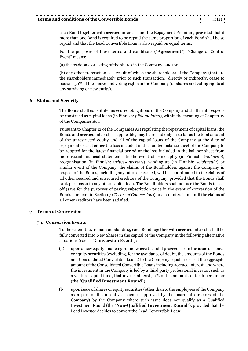each Bond together with accrued interests and the Repayment Premium, provided that if more than one Bond is required to be repaid the same proportion of each Bond shall be so repaid and that the Lead Convertible Loan is also repaid on equal terms.

For the purposes of these terms and conditions ("**Agreement**"), "Change of Control Event" means:

(a) the trade sale or listing of the shares in the Company; and/or

(b) any other transaction as a result of which the shareholders of the Company (that are the shareholders immediately prior to such transaction), directly or indirectly, cease to possess 50% of the shares and voting rights in the Company (or shares and voting rights of any surviving or new entity).

# **6 Status and Security**

The Bonds shall constitute unsecured obligations of the Company and shall in all respects be construed as capital loans (in Finnish: *pääomalaina*), within the meaning of Chapter 12 of the Companies Act.

Pursuant to Chapter 12 of the Companies Act regulating the repayment of capital loans, the Bonds and accrued interest, as applicable, may be repaid only in so far as the total amount of the unrestricted equity and all of the capital loans of the Company at the date of repayment exceed either the loss included in the audited balance sheet of the Company to be adopted for the latest financial period or the loss included in the balance sheet from more recent financial statements. In the event of bankruptcy (in Finnish: *konkurssi*), reorganisation (in Finnish: *yrityssaneeraus*), winding-up (in Finnish: *selvitystila*) or similar event of the Company, the claims of the Bondholders against the Company in respect of the Bonds, including any interest accrued, will be subordinated to the claims of all other secured and unsecured creditors of the Company, provided that the Bonds shall rank pari passu to any other capital loan. The Bondholders shall not use the Bonds to setoff (save for the purposes of paying subscription price in the event of conversion of the Bonds pursuant to Section 7 (*Terms of Conversion*)) or as counterclaim until the claims of all other creditors have been satisfied.

# **7 Terms of Conversion**

# **7.1 Conversion Events**

To the extent they remain outstanding, each Bond together with accrued interests shall be fully converted into New Shares in the capital of the Company in the following alternative situations (each a "**Conversion Event**"):

- (a) upon a new equity financing round where the total proceeds from the issue of shares or equity securities (excluding, for the avoidance of doubt, the amounts of the Bonds and Consolidated Convertible Loans) to the Company equal or exceed the aggregate amount of the Consolidated Convertible Loans including accrued interest, and where the investment in the Company is led by a third party professional investor, such as a venture capital fund, that invests at least 30% of the amount set forth hereunder (the "**Qualified Investment Round**");
- (b) upon issue of shares or equity securities (other than to the employees of the Company as a part of the incentive schemes approved by the board of directors of the Company) by the Company where such issue does not qualify as a Qualified Investment Round (the "**Non-Qualified Investment Round**"), provided that the Lead Investor decides to convert the Lead Convertible Loan;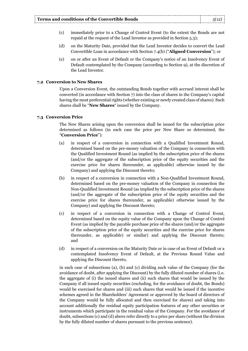- (c) immediately prior to a Change of Control Event (to the extent the Bonds are not repaid at the request of the Lead Investor as provided in Section 5.3);
- (d) on the Maturity Date, provided that the Lead Investor decides to convert the Lead Convertible Loan in accordance with Section 7.4(b) ("**Aligned Conversion**"); or
- (e) on or after an Event of Default or the Company's notice of an Insolvency Event of Default contemplated by the Company (according to Section 9), at the discretion of the Lead Investor.

#### **7.2 Conversion to New Shares**

Upon a Conversion Event, the outstanding Bonds together with accrued interest shall be converted (in accordance with Section 7) into the class of shares in the Company's capital having the most preferential rights (whether existing or newly created class of shares). Such shares shall be "**New Shares**" issued by the Company.

# **7.3 Conversion Price**

The New Shares arising upon the conversion shall be issued for the subscription price determined as follows (in each case the price per New Share so determined, the "**Conversion Price**"):

- (a) in respect of a conversion in connection with a Qualified Investment Round, determined based on the pre-money valuation of the Company in connection with the Qualified Investment Round (as implied by the subscription price of the shares (and/or the aggregate of the subscription price of the equity securities and the exercise price for shares thereunder, as applicable) otherwise issued by the Company) and applying the Discount thereto;
- (b) in respect of a conversion in connection with a Non-Qualified Investment Round, determined based on the pre-money valuation of the Company in connection the Non-Qualified Investment Round (as implied by the subscription price of the shares (and/or the aggregate of the subscription price of the equity securities and the exercise price for shares thereunder, as applicable) otherwise issued by the Company) and applying the Discount thereto;
- (c) in respect of a conversion in connection with a Change of Control Event, determined based on the equity value of the Company upon the Change of Control Event (as implied by the payable purchase price of the shares (and/or the aggregate of the subscription price of the equity securities and the exercise price for shares thereunder, as applicable) or similar) and applying the Discount thereto; and
- (d) in respect of a conversion on the Maturity Date or in case of an Event of Default or a contemplated Insolvency Event of Default, at the Previous Round Value and applying the Discount thereto,

in each case of subsections (a), (b) and (c) dividing such value of the Company (for the avoidance of doubt, after applying the Discount) by the fully diluted number of shares (i.e. the aggregate of (i) the issued shares and (ii) such shares that would be issued by the Company if all issued equity securities (excluding, for the avoidance of doubt, the Bonds) would be exercised for shares and (iii) such shares that would be issued if the incentive schemes agreed in the Shareholders' Agreement or approved by the board of directors of the Company would be fully allocated and then exercised for shares) and taking into account additionally the residual equity participation features of any other securities or instruments which participate in the residual value of the Company. For the avoidance of doubt, subsections (c) and (d) above refer directly to a price per share (without the division by the fully diluted number of shares pursuant to the previous sentence).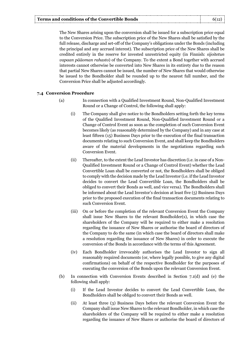The New Shares arising upon the conversion shall be issued for a subscription price equal to the Conversion Price. The subscription price of the New Shares shall be satisfied by the full release, discharge and set-off of the Company's obligations under the Bonds (including the principal and any accrued interest). The subscription price of the New Shares shall be credited entirely in the reserve for invested unrestricted equity (in Finnish: *sijoitetun vapaan pääoman rahasto*) of the Company. To the extent a Bond together with accrued interests cannot otherwise be converted into New Shares in its entirety due to the reason that partial New Shares cannot be issued, the number of New Shares that would otherwise be issued to the Bondholder shall be rounded up to the nearest full number, and the Conversion Price shall be adjusted accordingly.

# **7.4 Conversion Procedure**

- (a) In connection with a Qualified Investment Round, Non-Qualified Investment Round or a Change of Control, the following shall apply:
	- (i) The Company shall give notice to the Bondholders setting forth the key terms of the Qualified Investment Round, Non-Qualified Investment Round or a Change of Control Event as soon as the completion of such Conversion Event becomes likely (as reasonably determined by the Company) and in any case at least fifteen (15) Business Days prior to the execution of the final transaction documents relating to such Conversion Event, and shall keep the Bondholders aware of the material developments in the negotiations regarding such Conversion Event.
	- (ii) Thereafter, to the extent the Lead Investor has discretion (i.e. in case of a Non-Qualified Investment Round or a Change of Control Event) whether the Lead Convertible Loan shall be converted or not, the Bondholders shall be obliged to comply with the decision made by the Lead Investor (i.e. if the Lead Investor decides to convert the Lead Convertible Loan, the Bondholders shall be obliged to convert their Bonds as well, and vice versa). The Bondholders shall be informed about the Lead Investor's decision at least five (5) Business Days prior to the proposed execution of the final transaction documents relating to such Conversion Event.
	- (iii) On or before the completion of the relevant Conversion Event the Company shall issue New Shares to the relevant Bondholder(s), in which case the shareholders of the Company will be required to either make a resolution regarding the issuance of New Shares or authorise the board of directors of the Company to do the same (in which case the board of directors shall make a resolution regarding the issuance of New Shares) in order to execute the conversion of the Bonds in accordance with the terms of this Agreement.
	- (iv) Each Bondholder irrevocably authorises the Lead Investor to sign all reasonably required documents (or, where legally possible, to give any digital confirmations) on behalf of the respective Bondholder for the purposes of executing the conversion of the Bonds upon the relevant Conversion Event.
- (b) In connection with Conversion Events described in Section 7.1(d) and (e) the following shall apply:
	- (i) If the Lead Investor decides to convert the Lead Convertible Loan, the Bondholders shall be obliged to convert their Bonds as well.
	- (ii) At least three (3) Business Days before the relevant Conversion Event the Company shall issue New Shares to the relevant Bondholder, in which case the shareholders of the Company will be required to either make a resolution regarding the issuance of New Shares or authorise the board of directors of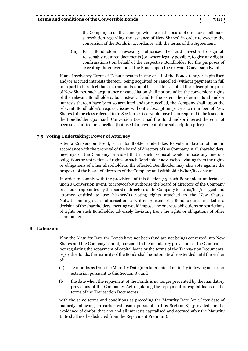the Company to do the same (in which case the board of directors shall make a resolution regarding the issuance of New Shares) in order to execute the conversion of the Bonds in accordance with the terms of this Agreement.

(iii) Each Bondholder irrevocably authorises the Lead Investor to sign all reasonably required documents (or, where legally possible, to give any digital confirmations) on behalf of the respective Bondholder for the purposes of executing the conversion of the Bonds upon the relevant Conversion Event.

If any Insolvency Event of Default results in any or all of the Bonds (and/or capitalised and/or accrued interests thereon) being acquitted or cancelled (without payment) in full or in part to the effect that such amounts cannot be used for set-off of the subscription price of New Shares, such acquittance or cancellation shall not prejudice the conversions rights of the relevant Bondholders, but instead, if and to the extent the relevant Bond and/or interests thereon have been so acquitted and/or cancelled, the Company shall, upon the relevant Bondholder's request, issue without subscription price such number of New Shares (of the class referred to in Section 7.2) as would have been required to be issued to the Bondholder upon such Conversion Event had the Bond and/or interest thereon not been so acquitted or cancelled (but used for payment of the subscription price).

# **7.5 Voting Undertaking; Power of Attorney**

After a Conversion Event, each Bondholder undertakes to vote in favour of and in accordance with the proposal of the board of directors of the Company in all shareholders' meetings of the Company provided that if such proposal would impose any onerous obligations or restrictions of rights on such Bondholder adversely deviating from the rights or obligations of other shareholders, the affected Bondholder may also vote against the proposal of the board of directors of the Company and withhold his/her/its consent.

In order to comply with the provisions of this Section 7.5, each Bondholder undertakes, upon a Conversion Event, to irrevocably authorise the board of directors of the Company or a person appointed by the board of directors of the Company to be his/her/its agent and attorney entitled to use his/her/its voting rights attached to the New Shares. Notwithstanding such authorisation, a written consent of a Bondholder is needed if a decision of the shareholders' meeting would impose any onerous obligations or restrictions of rights on such Bondholder adversely deviating from the rights or obligations of other shareholders.

# **8 Extension**

If on the Maturity Date the Bonds have not been (and are not being) converted into New Shares and the Company cannot, pursuant to the mandatory provisions of the Companies Act regulating the repayment of capital loans or the terms of the Transaction Documents, repay the Bonds, the maturity of the Bonds shall be automatically extended until the earlier of:

- (a) 12 months as from the Maturity Date (or a later date of maturity following an earlier extension pursuant to this Section 8); and
- (b) the date when the repayment of the Bonds is no longer prevented by the mandatory provisions of the Companies Act regulating the repayment of capital loans or the terms of the Transaction Documents,

with the same terms and conditions as preceding the Maturity Date (or a later date of maturity following an earlier extension pursuant to this Section 8) (provided for the avoidance of doubt, that any and all interests capitalised and accrued after the Maturity Date shall not be deducted from the Repayment Premium).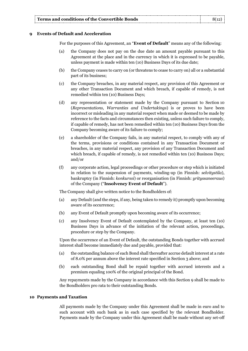# **9 Events of Default and Acceleration**

For the purposes of this Agreement, an "**Event of Default**" means any of the following:

- (a) the Company does not pay on the due date an amount payable pursuant to this Agreement at the place and in the currency in which it is expressed to be payable, unless payment is made within ten (10) Business Days of its due date;
- (b) the Company ceases to carry on (or threatens to cease to carry on) all or a substantial part of its business;
- (c) the Company breaches, in any material respect, any provision of this Agreement or any other Transaction Document and which breach, if capable of remedy, is not remedied within ten (10) Business Days;
- (d) any representation or statement made by the Company pursuant to Section 10 (*Representations, Warranties and Undertakings*) is or proves to have been incorrect or misleading in any material respect when made or deemed to be made by reference to the facts and circumstances then existing, unless such failure to comply, if capable of remedy, has not been remedied within ten (10) Business Days from the Company becoming aware of its failure to comply;
- (e) a shareholder of the Company fails, in any material respect, to comply with any of the terms, provisions or conditions contained in any Transaction Document or breaches, in any material respect, any provision of any Transaction Document and which breach, if capable of remedy, is not remedied within ten (10) Business Days; and/or
- (f) any corporate action, legal proceedings or other procedure or step which is initiated in relation to the suspension of payments, winding-up (in Finnish: *selvitystila*), bankruptcy (in Finnish: *konkurssi*) or reorganisation (in Finnish: *yrityssaneeraus*) of the Company ("**Insolvency Event of Default**").

The Company shall give written notice to the Bondholders of:

- (a) any Default (and the steps, if any, being taken to remedy it) promptly upon becoming aware of its occurrence;
- (b) any Event of Default promptly upon becoming aware of its occurrence;
- (c) any Insolvency Event of Default contemplated by the Company, at least ten (10) Business Days in advance of the initiation of the relevant action, proceedings, procedure or step by the Company.

Upon the occurrence of an Event of Default, the outstanding Bonds together with accrued interest shall become immediately due and payable, provided that:

- (a) the outstanding balance of each Bond shall thereafter accrue default interest at a rate of 8.0% per annum above the interest rate specified in Section 3 above; and
- (b) each outstanding Bond shall be repaid together with accrued interests and a premium equaling 100% of the original principal of the Bond.

Any repayments made by the Company in accordance with this Section 9 shall be made to the Bondholders pro rata to their outstanding Bonds.

# **10 Payments and Taxation**

All payments made by the Company under this Agreement shall be made in euro and to such account with such bank as in each case specified by the relevant Bondholder. Payments made by the Company under this Agreement shall be made without any set-off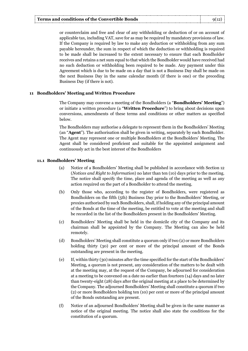or counterclaim and free and clear of any withholding or deduction of or on account of applicable tax, including VAT, save for as may be required by mandatory provisions of law. If the Company is required by law to make any deduction or withholding from any sum payable hereunder, the sum in respect of which the deduction or withholding is required to be made shall be increased to the extent necessary to ensure that each Bondholder receives and retains a net sum equal to that which the Bondholder would have received had no such deduction or withholding been required to be made. Any payment under this Agreement which is due to be made on a day that is not a Business Day shall be made on the next Business Day in the same calendar month (if there is one) or the preceding Business Day (if there is not).

# **11 Bondholders' Meeting and Written Procedure**

The Company may convene a meeting of the Bondholders (a "**Bondholders' Meeting**") or initiate a written procedure (a "**Written Procedure**") to bring about decisions upon conversions, amendments of these terms and conditions or other matters as specified below.

The Bondholders may authorise a delegate to represent them in the Bondholders' Meeting (an "**Agent**"). The authorisation shall be given in writing, separately by each Bondholder. The Agent may represent one or multiple Bondholders at the Bondholders' Meeting. The Agent shall be considered proficient and suitable for the appointed assignment and continuously act in the best interest of the Bondholders

# **11.1 Bondholders' Meeting**

- (a) Notice of a Bondholders' Meeting shall be published in accordance with Section 12 (*Notices and Right to Information*) no later than ten (10) days prior to the meeting. The notice shall specify the time, place and agenda of the meeting as well as any action required on the part of a Bondholder to attend the meeting.
- (b) Only those who, according to the register of Bondholders, were registered as Bondholders on the fifth (5th) Business Day prior to the Bondholders' Meeting, or proxies authorised by such Bondholders, shall, if holding any of the principal amount of the Bonds at the time of the meeting, be entitled to vote at the meeting and shall be recorded in the list of the Bondholders present in the Bondholders' Meeting.
- (c) Bondholders' Meeting shall be held in the domicile city of the Company and its chairman shall be appointed by the Company. The Meeting can also be held remotely.
- (d) Bondholders' Meeting shall constitute a quorum only if two (2) or more Bondholders holding thirty (30) per cent or more of the principal amount of the Bonds outstanding are present in the meeting.
- (e) If, within thirty (30) minutes after the time specified for the start of the Bondholders' Meeting, a quorum is not present, any consideration of the matters to be dealt with at the meeting may, at the request of the Company, be adjourned for consideration at a meeting to be convened on a date no earlier than fourteen (14) days and no later than twenty-eight (28) days after the original meeting at a place to be determined by the Company. The adjourned Bondholders' Meeting shall constitute a quorum if two (2) or more Bondholders holding ten (10) per cent or more of the principal amount of the Bonds outstanding are present.
- (f) Notice of an adjourned Bondholders' Meeting shall be given in the same manner as notice of the original meeting. The notice shall also state the conditions for the constitution of a quorum.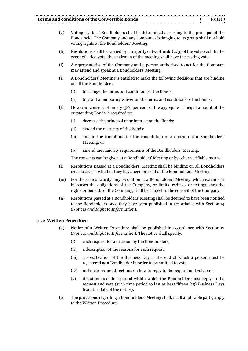- (g) Voting rights of Bondholders shall be determined according to the principal of the Bonds held. The Company and any companies belonging to its group shall not hold voting rights at the Bondholders' Meeting.
- (h) Resolutions shall be carried by a majority of two-thirds  $(2/3)$  of the votes cast. In the event of a tied vote, the chairman of the meeting shall have the casting vote.
- (i) A representative of the Company and a person authorised to act for the Company may attend and speak at a Bondholders' Meeting.
- (j) A Bondholders' Meeting is entitled to make the following decisions that are binding on all the Bondholders:
	- (i) to change the terms and conditions of the Bonds;
	- (ii) to grant a temporary waiver on the terms and conditions of the Bonds;
- (k) However, consent of ninety (90) per cent of the aggregate principal amount of the outstanding Bonds is required to:
	- (i) decrease the principal of or interest on the Bonds;
	- (ii) extend the maturity of the Bonds;
	- (iii) amend the conditions for the constitution of a quorum at a Bondholders' Meeting; or
	- (iv) amend the majority requirements of the Bondholders' Meeting.

The consents can be given at a Bondholders' Meeting or by other verifiable means.

- (l) Resolutions passed at a Bondholders' Meeting shall be binding on all Bondholders irrespective of whether they have been present at the Bondholders' Meeting.
- (m) For the sake of clarity, any resolution at a Bondholders' Meeting, which extends or increases the obligations of the Company, or limits, reduces or extinguishes the rights or benefits of the Company, shall be subject to the consent of the Company.
- (n) Resolutions passed at a Bondholders' Meeting shall be deemed to have been notified to the Bondholders once they have been published in accordance with Section 14 (*Notices and Right to Information*).

# **11.2 Written Procedure**

- (a) Notice of a Written Procedure shall be published in accordance with Section 12 (*Notices and Right to Information*). The notice shall specify:
	- (i) each request for a decision by the Bondholders,
	- (ii) a description of the reasons for each request,
	- (iii) a specification of the Business Day at the end of which a person must be registered as a Bondholder in order to be entitled to vote,
	- (iv) instructions and directions on how to reply to the request and vote, and
	- (v) the stipulated time period within which the Bondholder must reply to the request and vote (such time period to last at least fifteen (15) Business Days from the date of the notice).
- (b) The provisions regarding a Bondholders' Meeting shall, in all applicable parts, apply to the Written Procedure.